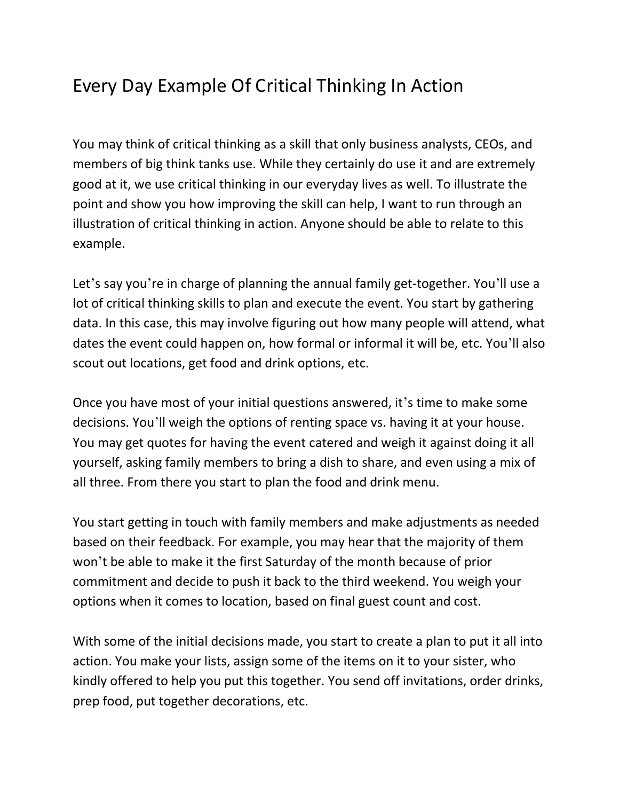## Every Day Example Of Critical Thinking In Action

You may think of critical thinking as a skill that only business analysts, CEOs, and members of big think tanks use. While they certainly do use it and are extremely good at it, we use critical thinking in our everyday lives as well. To illustrate the point and show you how improving the skill can help, I want to run through an illustration of critical thinking in action. Anyone should be able to relate to this example.

Let's say you're in charge of planning the annual family get-together. You'll use a lot of critical thinking skills to plan and execute the event. You start by gathering data. In this case, this may involve figuring out how many people will attend, what dates the event could happen on, how formal or informal it will be, etc. You'll also scout out locations, get food and drink options, etc.

Once you have most of your initial questions answered, it's time to make some decisions. You'll weigh the options of renting space vs. having it at your house. You may get quotes for having the event catered and weigh it against doing it all yourself, asking family members to bring a dish to share, and even using a mix of all three. From there you start to plan the food and drink menu.

You start getting in touch with family members and make adjustments as needed based on their feedback. For example, you may hear that the majority of them won't be able to make it the first Saturday of the month because of prior commitment and decide to push it back to the third weekend. You weigh your options when it comes to location, based on final guest count and cost.

With some of the initial decisions made, you start to create a plan to put it all into action. You make your lists, assign some of the items on it to your sister, who kindly offered to help you put this together. You send off invitations, order drinks, prep food, put together decorations, etc.